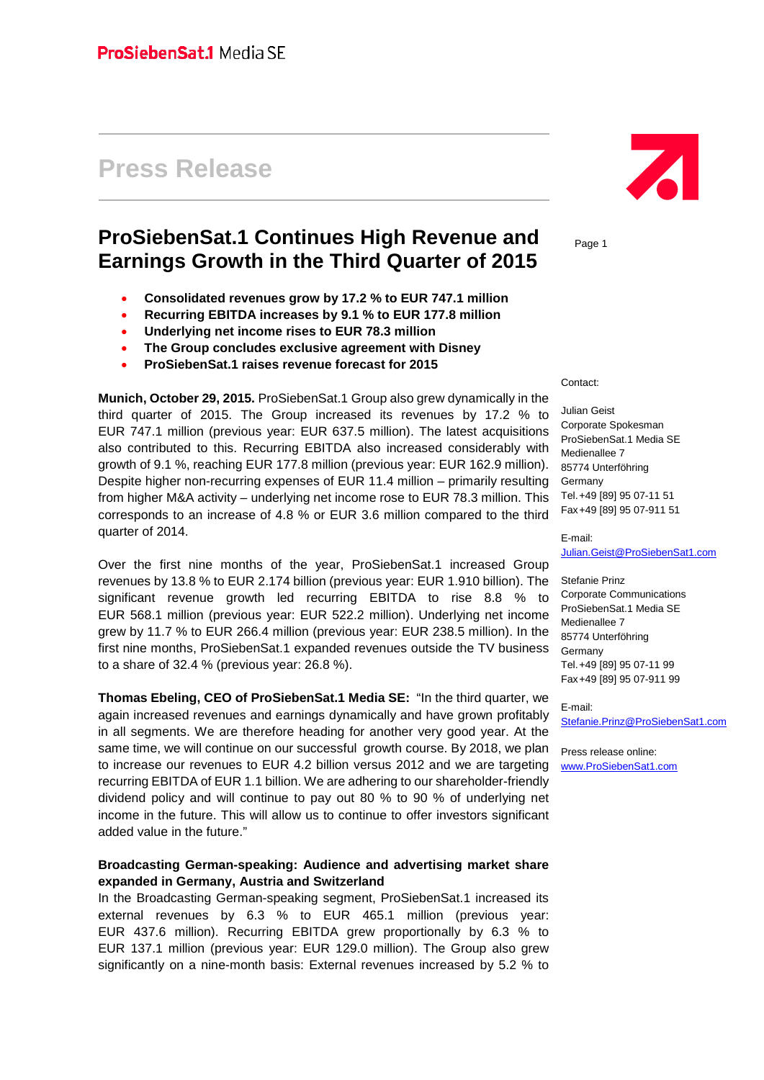# **Press Release**

## **ProSiebenSat.1 Continues High Revenue and Earnings Growth in the Third Quarter of 2015**

- **Consolidated revenues grow by 17.2 % to EUR 747.1 million**
- **Recurring EBITDA increases by 9.1 % to EUR 177.8 million**
- **Underlying net income rises to EUR 78.3 million**
- **The Group concludes exclusive agreement with Disney**
- **ProSiebenSat.1 raises revenue forecast for 2015**

**Munich, October 29, 2015.** ProSiebenSat.1 Group also grew dynamically in the third quarter of 2015. The Group increased its revenues by 17.2 % to EUR 747.1 million (previous year: EUR 637.5 million). The latest acquisitions also contributed to this. Recurring EBITDA also increased considerably with growth of 9.1 %, reaching EUR 177.8 million (previous year: EUR 162.9 million). Despite higher non-recurring expenses of EUR 11.4 million – primarily resulting from higher M&A activity – underlying net income rose to EUR 78.3 million. This corresponds to an increase of 4.8 % or EUR 3.6 million compared to the third quarter of 2014.

Over the first nine months of the year, ProSiebenSat.1 increased Group revenues by 13.8 % to EUR 2.174 billion (previous year: EUR 1.910 billion). The significant revenue growth led recurring EBITDA to rise 8.8 % to EUR 568.1 million (previous year: EUR 522.2 million). Underlying net income grew by 11.7 % to EUR 266.4 million (previous year: EUR 238.5 million). In the first nine months, ProSiebenSat.1 expanded revenues outside the TV business to a share of 32.4 % (previous year: 26.8 %).

**Thomas Ebeling, CEO of ProSiebenSat.1 Media SE:** "In the third quarter, we again increased revenues and earnings dynamically and have grown profitably in all segments. We are therefore heading for another very good year. At the same time, we will continue on our successful growth course. By 2018, we plan to increase our revenues to EUR 4.2 billion versus 2012 and we are targeting recurring EBITDA of EUR 1.1 billion. We are adhering to our shareholder-friendly dividend policy and will continue to pay out 80 % to 90 % of underlying net income in the future. This will allow us to continue to offer investors significant added value in the future."

#### **Broadcasting German-speaking: Audience and advertising market share expanded in Germany, Austria and Switzerland**

In the Broadcasting German-speaking segment, ProSiebenSat.1 increased its external revenues by 6.3 % to EUR 465.1 million (previous year: EUR 437.6 million). Recurring EBITDA grew proportionally by 6.3 % to EUR 137.1 million (previous year: EUR 129.0 million). The Group also grew significantly on a nine-month basis: External revenues increased by 5.2 % to



Page 1

Contact:

Julian Geist Corporate Spokesman ProSiebenSat.1 Media SE Medienallee 7 85774 Unterföhring Germany Tel.+49 [89] 95 07-11 51 Fax+49 [89] 95 07-911 51

E-mail: [Julian.Geist@ProSiebenSat1.com](mailto:Julian.Geist@ProSiebenSat1.com)

Stefanie Prinz Corporate Communications ProSiebenSat.1 Media SE Medienallee 7 85774 Unterföhring Germany Tel.+49 [89] 95 07-11 99 Fax+49 [89] 95 07-911 99

E-mail: [Stefanie.Prinz@ProSiebenSat1.com](mailto:Stefanie.Prinz@ProSiebenSat1.com)

Press release online: [www.ProSiebenSat1.com](http://www.prosiebensat1.com/)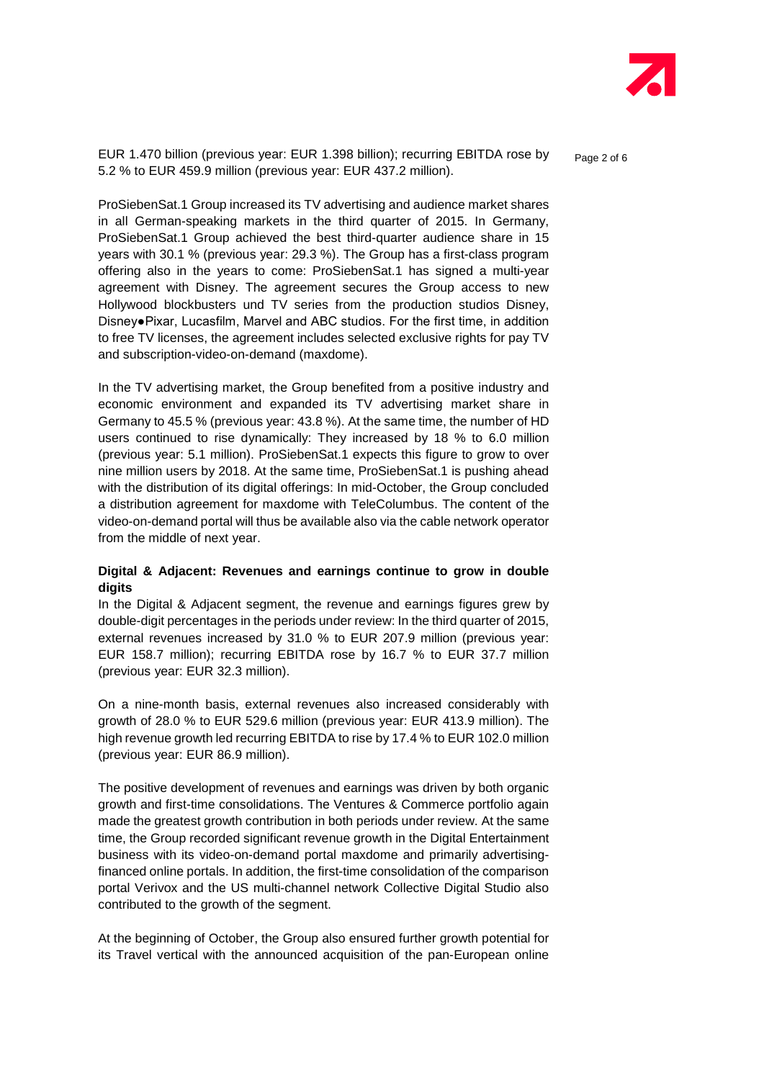

EUR 1.470 billion (previous year: EUR 1.398 billion); recurring EBITDA rose by  $P_{\text{a}ae 2 of 6}$ 5.2 % to EUR 459.9 million (previous year: EUR 437.2 million).

ProSiebenSat.1 Group increased its TV advertising and audience market shares in all German-speaking markets in the third quarter of 2015. In Germany, ProSiebenSat.1 Group achieved the best third-quarter audience share in 15 years with 30.1 % (previous year: 29.3 %). The Group has a first-class program offering also in the years to come: ProSiebenSat.1 has signed a multi-year agreement with Disney. The agreement secures the Group access to new Hollywood blockbusters und TV series from the production studios Disney, Disney●Pixar, Lucasfilm, Marvel and ABC studios. For the first time, in addition to free TV licenses, the agreement includes selected exclusive rights for pay TV and subscription-video-on-demand (maxdome).

In the TV advertising market, the Group benefited from a positive industry and economic environment and expanded its TV advertising market share in Germany to 45.5 % (previous year: 43.8 %). At the same time, the number of HD users continued to rise dynamically: They increased by 18 % to 6.0 million (previous year: 5.1 million). ProSiebenSat.1 expects this figure to grow to over nine million users by 2018. At the same time, ProSiebenSat.1 is pushing ahead with the distribution of its digital offerings: In mid-October, the Group concluded a distribution agreement for maxdome with TeleColumbus. The content of the video-on-demand portal will thus be available also via the cable network operator from the middle of next year.

#### **Digital & Adjacent: Revenues and earnings continue to grow in double digits**

In the Digital & Adjacent segment, the revenue and earnings figures grew by double-digit percentages in the periods under review: In the third quarter of 2015, external revenues increased by 31.0 % to EUR 207.9 million (previous year: EUR 158.7 million); recurring EBITDA rose by 16.7 % to EUR 37.7 million (previous year: EUR 32.3 million).

On a nine-month basis, external revenues also increased considerably with growth of 28.0 % to EUR 529.6 million (previous year: EUR 413.9 million). The high revenue growth led recurring EBITDA to rise by 17.4 % to EUR 102.0 million (previous year: EUR 86.9 million).

The positive development of revenues and earnings was driven by both organic growth and first-time consolidations. The Ventures & Commerce portfolio again made the greatest growth contribution in both periods under review. At the same time, the Group recorded significant revenue growth in the Digital Entertainment business with its video-on-demand portal maxdome and primarily advertisingfinanced online portals. In addition, the first-time consolidation of the comparison portal Verivox and the US multi-channel network Collective Digital Studio also contributed to the growth of the segment.

At the beginning of October, the Group also ensured further growth potential for its Travel vertical with the announced acquisition of the pan-European online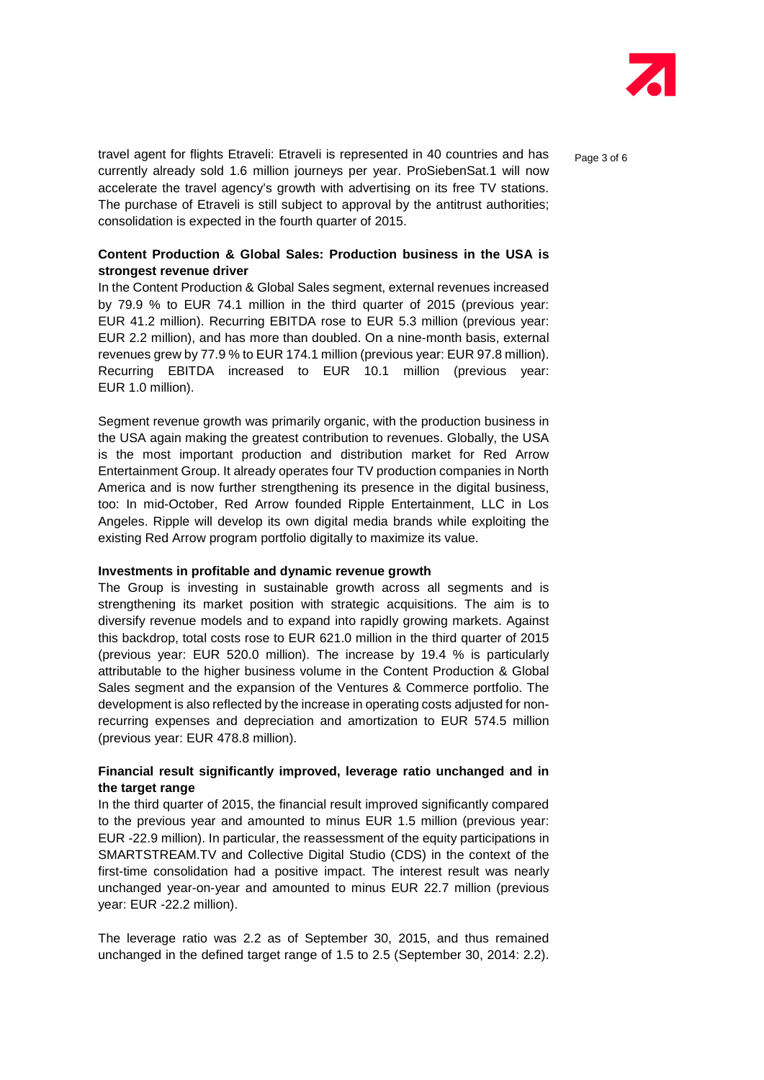

travel agent for flights Etraveli: Etraveli is represented in 40 countries and has  $_{\text{Paqe 3 of 6}}$ currently already sold 1.6 million journeys per year. ProSiebenSat.1 will now accelerate the travel agency's growth with advertising on its free TV stations. The purchase of Etraveli is still subject to approval by the antitrust authorities; consolidation is expected in the fourth quarter of 2015.

#### **Content Production & Global Sales: Production business in the USA is strongest revenue driver**

In the Content Production & Global Sales segment, external revenues increased by 79.9 % to EUR 74.1 million in the third quarter of 2015 (previous year: EUR 41.2 million). Recurring EBITDA rose to EUR 5.3 million (previous year: EUR 2.2 million), and has more than doubled. On a nine-month basis, external revenues grew by 77.9 % to EUR 174.1 million (previous year: EUR 97.8 million). Recurring EBITDA increased to EUR 10.1 million (previous year: EUR 1.0 million).

Segment revenue growth was primarily organic, with the production business in the USA again making the greatest contribution to revenues. Globally, the USA is the most important production and distribution market for Red Arrow Entertainment Group. It already operates four TV production companies in North America and is now further strengthening its presence in the digital business, too: In mid-October, Red Arrow founded Ripple Entertainment, LLC in Los Angeles. Ripple will develop its own digital media brands while exploiting the existing Red Arrow program portfolio digitally to maximize its value.

#### **Investments in profitable and dynamic revenue growth**

The Group is investing in sustainable growth across all segments and is strengthening its market position with strategic acquisitions. The aim is to diversify revenue models and to expand into rapidly growing markets. Against this backdrop, total costs rose to EUR 621.0 million in the third quarter of 2015 (previous year: EUR 520.0 million). The increase by 19.4 % is particularly attributable to the higher business volume in the Content Production & Global Sales segment and the expansion of the Ventures & Commerce portfolio. The development is also reflected by the increase in operating costs adjusted for nonrecurring expenses and depreciation and amortization to EUR 574.5 million (previous year: EUR 478.8 million).

#### **Financial result significantly improved, leverage ratio unchanged and in the target range**

In the third quarter of 2015, the financial result improved significantly compared to the previous year and amounted to minus EUR 1.5 million (previous year: EUR -22.9 million). In particular, the reassessment of the equity participations in SMARTSTREAM.TV and Collective Digital Studio (CDS) in the context of the first-time consolidation had a positive impact. The interest result was nearly unchanged year-on-year and amounted to minus EUR 22.7 million (previous year: EUR -22.2 million).

The leverage ratio was 2.2 as of September 30, 2015, and thus remained unchanged in the defined target range of 1.5 to 2.5 (September 30, 2014: 2.2).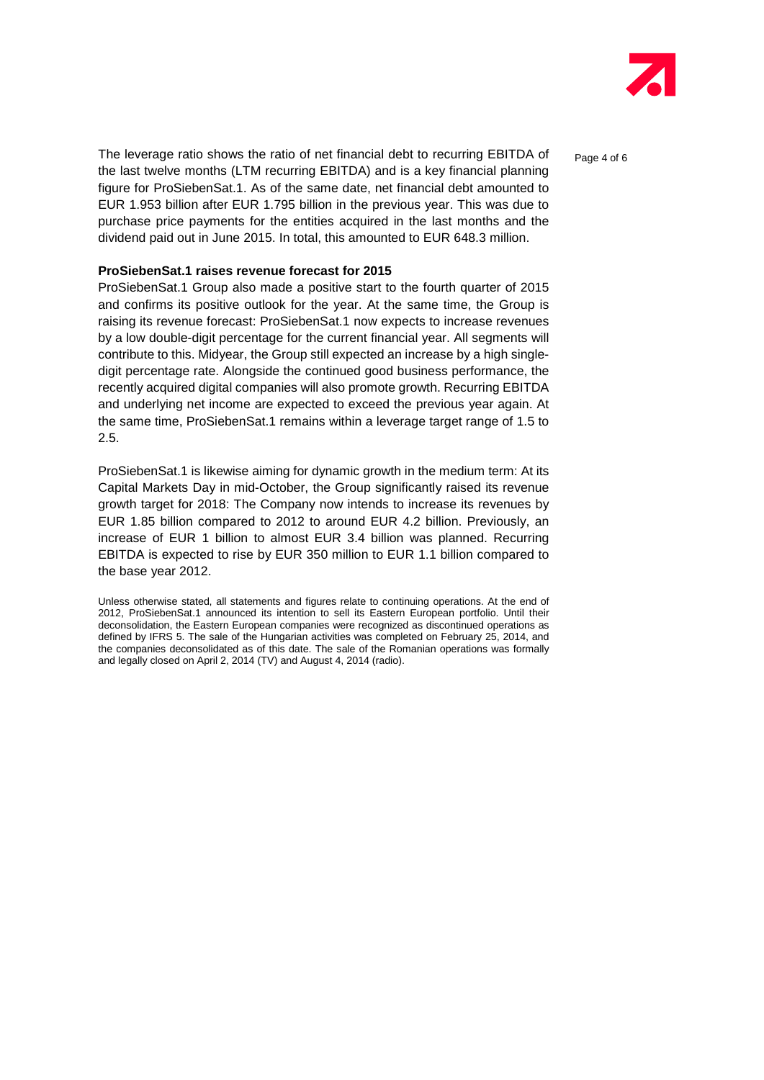

The leverage ratio shows the ratio of net financial debt to recurring EBITDA of  $P_{\text{a}q}$  and 6 the last twelve months (LTM recurring EBITDA) and is a key financial planning figure for ProSiebenSat.1. As of the same date, net financial debt amounted to EUR 1.953 billion after EUR 1.795 billion in the previous year. This was due to purchase price payments for the entities acquired in the last months and the dividend paid out in June 2015. In total, this amounted to EUR 648.3 million.

#### **ProSiebenSat.1 raises revenue forecast for 2015**

ProSiebenSat.1 Group also made a positive start to the fourth quarter of 2015 and confirms its positive outlook for the year. At the same time, the Group is raising its revenue forecast: ProSiebenSat.1 now expects to increase revenues by a low double-digit percentage for the current financial year. All segments will contribute to this. Midyear, the Group still expected an increase by a high singledigit percentage rate. Alongside the continued good business performance, the recently acquired digital companies will also promote growth. Recurring EBITDA and underlying net income are expected to exceed the previous year again. At the same time, ProSiebenSat.1 remains within a leverage target range of 1.5 to 2.5.

ProSiebenSat.1 is likewise aiming for dynamic growth in the medium term: At its Capital Markets Day in mid-October, the Group significantly raised its revenue growth target for 2018: The Company now intends to increase its revenues by EUR 1.85 billion compared to 2012 to around EUR 4.2 billion. Previously, an increase of EUR 1 billion to almost EUR 3.4 billion was planned. Recurring EBITDA is expected to rise by EUR 350 million to EUR 1.1 billion compared to the base year 2012.

Unless otherwise stated, all statements and figures relate to continuing operations. At the end of 2012, ProSiebenSat.1 announced its intention to sell its Eastern European portfolio. Until their deconsolidation, the Eastern European companies were recognized as discontinued operations as defined by IFRS 5. The sale of the Hungarian activities was completed on February 25, 2014, and the companies deconsolidated as of this date. The sale of the Romanian operations was formally and legally closed on April 2, 2014 (TV) and August 4, 2014 (radio).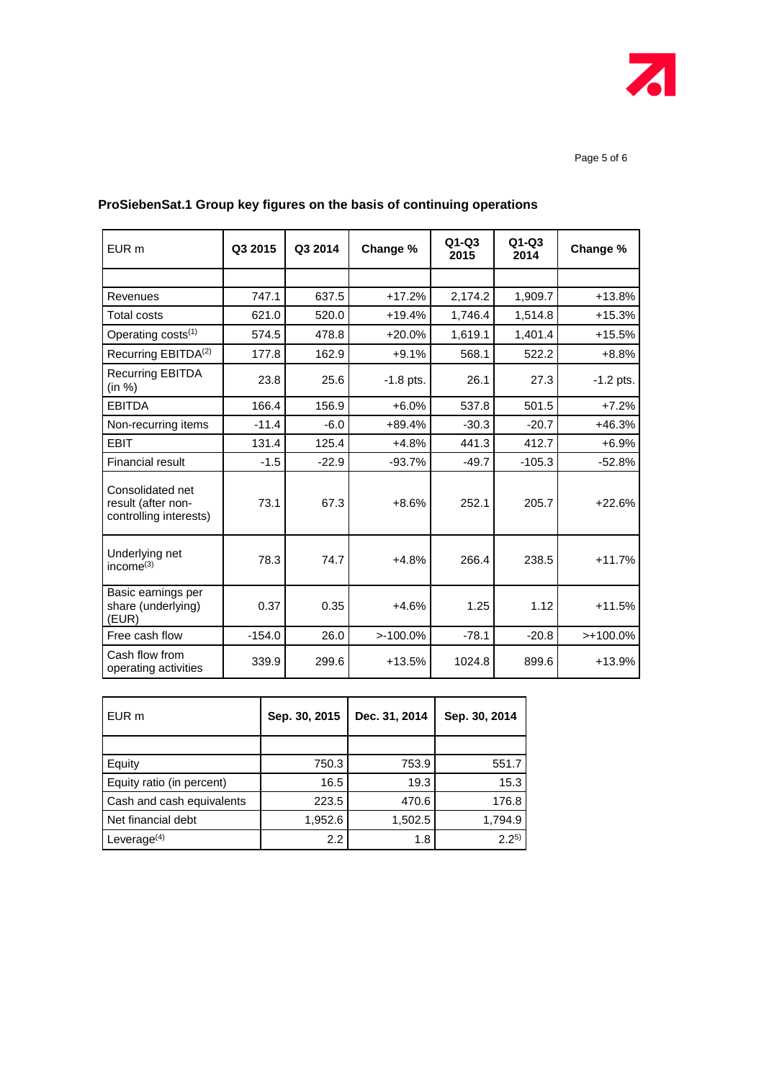

| EUR <sub>m</sub>                                                 | Q3 2015  | Q3 2014 | Change %    | $Q1-Q3$<br>2015 | $Q1-Q3$<br>2014 | Change %    |
|------------------------------------------------------------------|----------|---------|-------------|-----------------|-----------------|-------------|
|                                                                  |          |         |             |                 |                 |             |
| Revenues                                                         | 747.1    | 637.5   | $+17.2%$    | 2,174.2         | 1,909.7         | $+13.8%$    |
| <b>Total costs</b>                                               | 621.0    | 520.0   | $+19.4%$    | 1.746.4         | 1,514.8         | $+15.3%$    |
| Operating costs <sup>(1)</sup>                                   | 574.5    | 478.8   | $+20.0%$    | 1,619.1         | 1,401.4         | $+15.5%$    |
| Recurring EBITDA <sup>(2)</sup>                                  | 177.8    | 162.9   | $+9.1%$     | 568.1           | 522.2           | $+8.8%$     |
| <b>Recurring EBITDA</b><br>(in %)                                | 23.8     | 25.6    | $-1.8$ pts. | 26.1            | 27.3            | $-1.2$ pts. |
| <b>EBITDA</b>                                                    | 166.4    | 156.9   | $+6.0%$     | 537.8           | 501.5           | $+7.2%$     |
| Non-recurring items                                              | $-11.4$  | $-6.0$  | $+89.4%$    | $-30.3$         | $-20.7$         | $+46.3%$    |
| <b>EBIT</b>                                                      | 131.4    | 125.4   | $+4.8%$     | 441.3           | 412.7           | $+6.9%$     |
| <b>Financial result</b>                                          | $-1.5$   | $-22.9$ | $-93.7%$    | $-49.7$         | $-105.3$        | $-52.8%$    |
| Consolidated net<br>result (after non-<br>controlling interests) | 73.1     | 67.3    | $+8.6%$     | 252.1           | 205.7           | $+22.6%$    |
| Underlying net<br>income $(3)$                                   | 78.3     | 74.7    | $+4.8%$     | 266.4           | 238.5           | $+11.7%$    |
| Basic earnings per<br>share (underlying)<br>(EUR)                | 0.37     | 0.35    | $+4.6%$     | 1.25            | 1.12            | $+11.5%$    |
| Free cash flow                                                   | $-154.0$ | 26.0    | $>100.0\%$  | $-78.1$         | $-20.8$         | $>+100.0\%$ |
| Cash flow from<br>operating activities                           | 339.9    | 299.6   | $+13.5%$    | 1024.8          | 899.6           | +13.9%      |

### **ProSiebenSat.1 Group key figures on the basis of continuing operations**

| EUR <sub>m</sub>          | Sep. 30, 2015 | Dec. 31, 2014 | Sep. 30, 2014 |
|---------------------------|---------------|---------------|---------------|
|                           |               |               |               |
| Equity                    | 750.3         | 753.9         | 551.7         |
| Equity ratio (in percent) | 16.5          | 19.3          | 15.3          |
| Cash and cash equivalents | 223.5         | 470.6         | 176.8         |
| Net financial debt        | 1,952.6       | 1,502.5       | 1,794.9       |
| Leverage $(4)$            | 2.2           | 1.8           | 2, 25         |